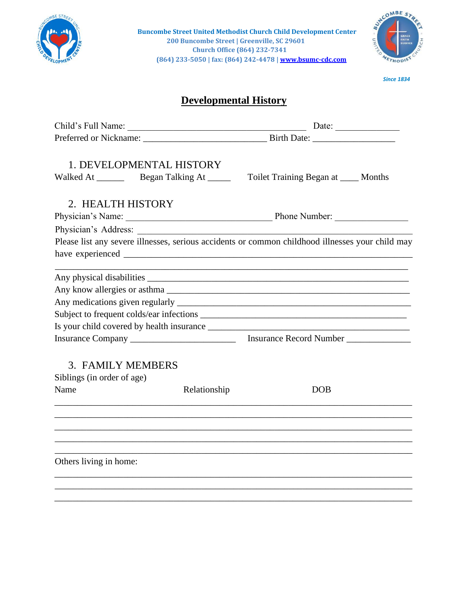

**Buncombe Street United Methodist Church Child Development Center 200 Buncombe Street | Greenville, SC 29601 Church Office (864) 232-7341 (864) 233-5050 | fax: (864) 242-447[8 | www.bsumc-cdc.com](http://www.bsumc-cdc.com/)**



*Since 1834*

## **Developmental History**

| Child's Full Name:                                                                               | Date: $\frac{1}{\sqrt{1-\frac{1}{2}} \cdot \frac{1}{2} \cdot \frac{1}{2} \cdot \frac{1}{2} \cdot \frac{1}{2} \cdot \frac{1}{2} \cdot \frac{1}{2} \cdot \frac{1}{2} \cdot \frac{1}{2} \cdot \frac{1}{2} \cdot \frac{1}{2} \cdot \frac{1}{2} \cdot \frac{1}{2} \cdot \frac{1}{2} \cdot \frac{1}{2} \cdot \frac{1}{2} \cdot \frac{1}{2} \cdot \frac{1}{2} \cdot \frac{1}{2} \cdot \frac{1}{2} \cdot \frac{1}{2} \cdot \frac{1}{2} \cdot \frac{1}{2}$ |  |
|--------------------------------------------------------------------------------------------------|---------------------------------------------------------------------------------------------------------------------------------------------------------------------------------------------------------------------------------------------------------------------------------------------------------------------------------------------------------------------------------------------------------------------------------------------------|--|
|                                                                                                  |                                                                                                                                                                                                                                                                                                                                                                                                                                                   |  |
| 1. DEVELOPMENTAL HISTORY                                                                         |                                                                                                                                                                                                                                                                                                                                                                                                                                                   |  |
|                                                                                                  | Toilet Training Began at _____ Months                                                                                                                                                                                                                                                                                                                                                                                                             |  |
| 2. HEALTH HISTORY                                                                                |                                                                                                                                                                                                                                                                                                                                                                                                                                                   |  |
|                                                                                                  |                                                                                                                                                                                                                                                                                                                                                                                                                                                   |  |
|                                                                                                  |                                                                                                                                                                                                                                                                                                                                                                                                                                                   |  |
| Please list any severe illnesses, serious accidents or common childhood illnesses your child may |                                                                                                                                                                                                                                                                                                                                                                                                                                                   |  |
|                                                                                                  |                                                                                                                                                                                                                                                                                                                                                                                                                                                   |  |
|                                                                                                  |                                                                                                                                                                                                                                                                                                                                                                                                                                                   |  |
|                                                                                                  |                                                                                                                                                                                                                                                                                                                                                                                                                                                   |  |
|                                                                                                  |                                                                                                                                                                                                                                                                                                                                                                                                                                                   |  |
|                                                                                                  |                                                                                                                                                                                                                                                                                                                                                                                                                                                   |  |
|                                                                                                  |                                                                                                                                                                                                                                                                                                                                                                                                                                                   |  |
| 3. FAMILY MEMBERS                                                                                |                                                                                                                                                                                                                                                                                                                                                                                                                                                   |  |
| Siblings (in order of age)                                                                       |                                                                                                                                                                                                                                                                                                                                                                                                                                                   |  |
| Name<br>Relationship                                                                             | <b>DOB</b>                                                                                                                                                                                                                                                                                                                                                                                                                                        |  |
|                                                                                                  |                                                                                                                                                                                                                                                                                                                                                                                                                                                   |  |
|                                                                                                  |                                                                                                                                                                                                                                                                                                                                                                                                                                                   |  |
| Others living in home:                                                                           |                                                                                                                                                                                                                                                                                                                                                                                                                                                   |  |
|                                                                                                  |                                                                                                                                                                                                                                                                                                                                                                                                                                                   |  |